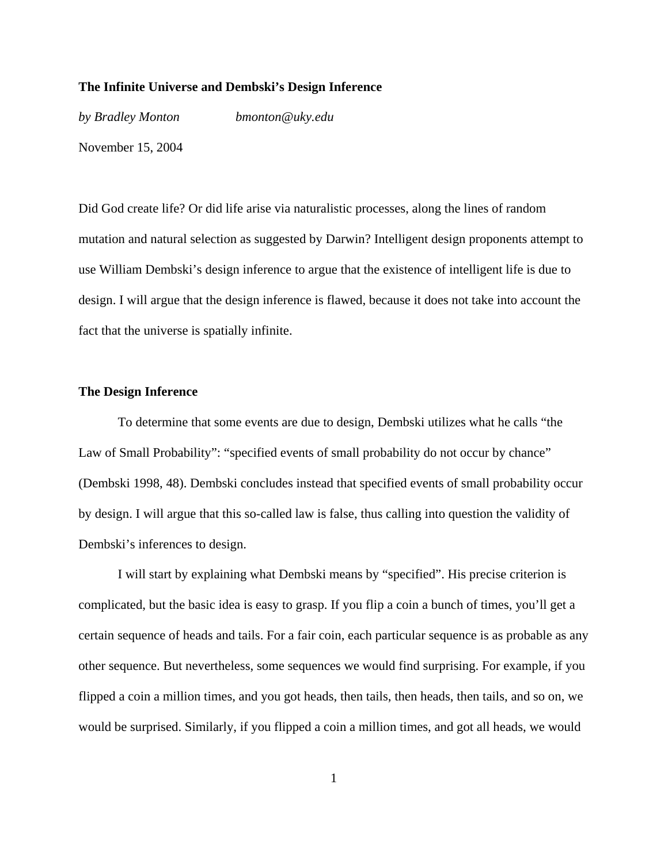## **The Infinite Universe and Dembski's Design Inference**

*by Bradley Monton bmonton@uky.edu*

November 15, 2004

Did God create life? Or did life arise via naturalistic processes, along the lines of random mutation and natural selection as suggested by Darwin? Intelligent design proponents attempt to use William Dembski's design inference to argue that the existence of intelligent life is due to design. I will argue that the design inference is flawed, because it does not take into account the fact that the universe is spatially infinite.

## **The Design Inference**

To determine that some events are due to design, Dembski utilizes what he calls "the Law of Small Probability": "specified events of small probability do not occur by chance" (Dembski 1998, 48). Dembski concludes instead that specified events of small probability occur by design. I will argue that this so-called law is false, thus calling into question the validity of Dembski's inferences to design.

I will start by explaining what Dembski means by "specified". His precise criterion is complicated, but the basic idea is easy to grasp. If you flip a coin a bunch of times, you'll get a certain sequence of heads and tails. For a fair coin, each particular sequence is as probable as any other sequence. But nevertheless, some sequences we would find surprising. For example, if you flipped a coin a million times, and you got heads, then tails, then heads, then tails, and so on, we would be surprised. Similarly, if you flipped a coin a million times, and got all heads, we would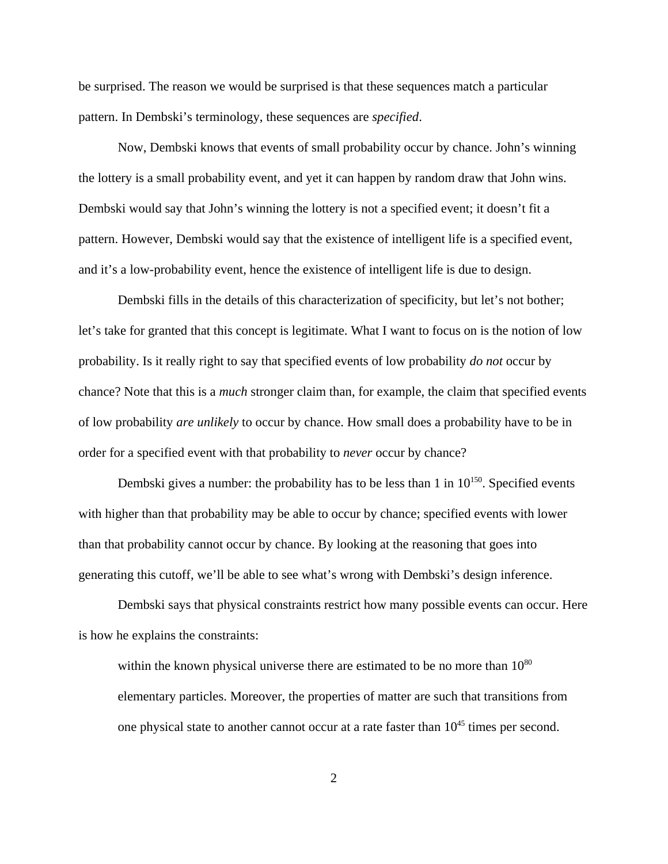be surprised. The reason we would be surprised is that these sequences match a particular pattern. In Dembski's terminology, these sequences are *specified*.

Now, Dembski knows that events of small probability occur by chance. John's winning the lottery is a small probability event, and yet it can happen by random draw that John wins. Dembski would say that John's winning the lottery is not a specified event; it doesn't fit a pattern. However, Dembski would say that the existence of intelligent life is a specified event, and it's a low-probability event, hence the existence of intelligent life is due to design.

Dembski fills in the details of this characterization of specificity, but let's not bother; let's take for granted that this concept is legitimate. What I want to focus on is the notion of low probability. Is it really right to say that specified events of low probability *do not* occur by chance? Note that this is a *much* stronger claim than, for example, the claim that specified events of low probability *are unlikely* to occur by chance. How small does a probability have to be in order for a specified event with that probability to *never* occur by chance?

Dembski gives a number: the probability has to be less than 1 in 10<sup>150</sup>. Specified events with higher than that probability may be able to occur by chance; specified events with lower than that probability cannot occur by chance. By looking at the reasoning that goes into generating this cutoff, we'll be able to see what's wrong with Dembski's design inference.

Dembski says that physical constraints restrict how many possible events can occur. Here is how he explains the constraints:

within the known physical universe there are estimated to be no more than  $10^{80}$ elementary particles. Moreover, the properties of matter are such that transitions from one physical state to another cannot occur at a rate faster than  $10^{45}$  times per second.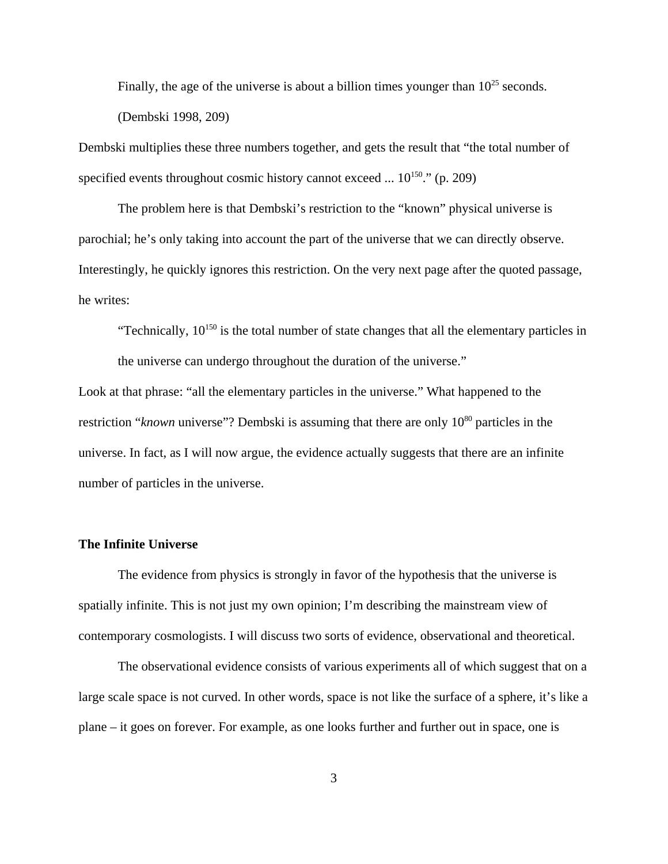Finally, the age of the universe is about a billion times younger than  $10^{25}$  seconds. (Dembski 1998, 209)

Dembski multiplies these three numbers together, and gets the result that "the total number of specified events throughout cosmic history cannot exceed ...  $10^{150}$ ." (p. 209)

The problem here is that Dembski's restriction to the "known" physical universe is parochial; he's only taking into account the part of the universe that we can directly observe. Interestingly, he quickly ignores this restriction. On the very next page after the quoted passage, he writes:

"Technically,  $10^{150}$  is the total number of state changes that all the elementary particles in

the universe can undergo throughout the duration of the universe."

Look at that phrase: "all the elementary particles in the universe." What happened to the restriction "*known* universe"? Dembski is assuming that there are only 10<sup>80</sup> particles in the universe. In fact, as I will now argue, the evidence actually suggests that there are an infinite number of particles in the universe.

### **The Infinite Universe**

The evidence from physics is strongly in favor of the hypothesis that the universe is spatially infinite. This is not just my own opinion; I'm describing the mainstream view of contemporary cosmologists. I will discuss two sorts of evidence, observational and theoretical.

The observational evidence consists of various experiments all of which suggest that on a large scale space is not curved. In other words, space is not like the surface of a sphere, it's like a plane – it goes on forever. For example, as one looks further and further out in space, one is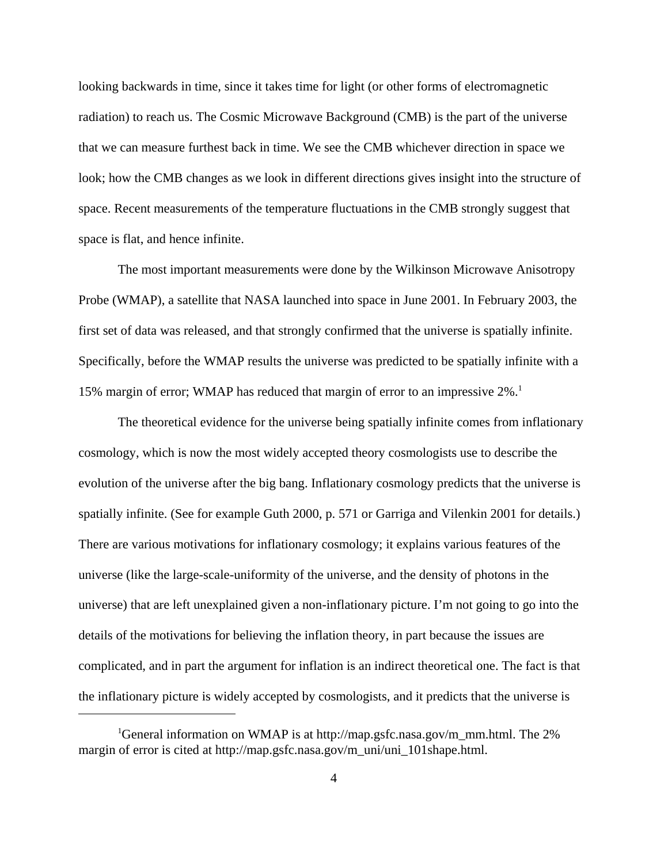looking backwards in time, since it takes time for light (or other forms of electromagnetic radiation) to reach us. The Cosmic Microwave Background (CMB) is the part of the universe that we can measure furthest back in time. We see the CMB whichever direction in space we look; how the CMB changes as we look in different directions gives insight into the structure of space. Recent measurements of the temperature fluctuations in the CMB strongly suggest that space is flat, and hence infinite.

The most important measurements were done by the Wilkinson Microwave Anisotropy Probe (WMAP), a satellite that NASA launched into space in June 2001. In February 2003, the first set of data was released, and that strongly confirmed that the universe is spatially infinite. Specifically, before the WMAP results the universe was predicted to be spatially infinite with a 15% margin of error; WMAP has reduced that margin of error to an impressive 2%.<sup>1</sup>

The theoretical evidence for the universe being spatially infinite comes from inflationary cosmology, which is now the most widely accepted theory cosmologists use to describe the evolution of the universe after the big bang. Inflationary cosmology predicts that the universe is spatially infinite. (See for example Guth 2000, p. 571 or Garriga and Vilenkin 2001 for details.) There are various motivations for inflationary cosmology; it explains various features of the universe (like the large-scale-uniformity of the universe, and the density of photons in the universe) that are left unexplained given a non-inflationary picture. I'm not going to go into the details of the motivations for believing the inflation theory, in part because the issues are complicated, and in part the argument for inflation is an indirect theoretical one. The fact is that the inflationary picture is widely accepted by cosmologists, and it predicts that the universe is

<sup>&</sup>lt;sup>1</sup>General information on WMAP is at http://map.gsfc.nasa.gov/m\_mm.html. The 2% margin of error is cited at http://map.gsfc.nasa.gov/m\_uni/uni\_101shape.html.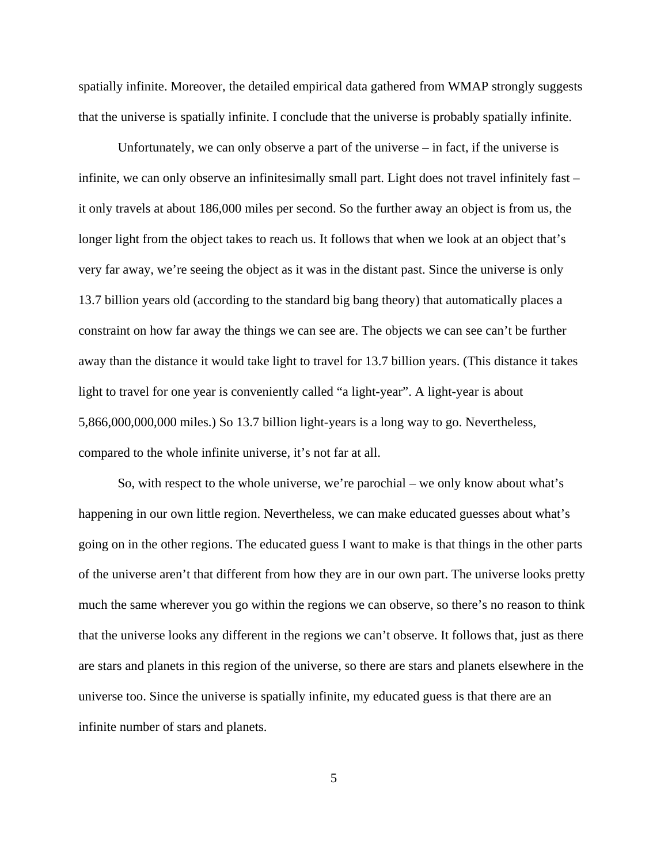spatially infinite. Moreover, the detailed empirical data gathered from WMAP strongly suggests that the universe is spatially infinite. I conclude that the universe is probably spatially infinite.

Unfortunately, we can only observe a part of the universe – in fact, if the universe is infinite, we can only observe an infinitesimally small part. Light does not travel infinitely fast – it only travels at about 186,000 miles per second. So the further away an object is from us, the longer light from the object takes to reach us. It follows that when we look at an object that's very far away, we're seeing the object as it was in the distant past. Since the universe is only 13.7 billion years old (according to the standard big bang theory) that automatically places a constraint on how far away the things we can see are. The objects we can see can't be further away than the distance it would take light to travel for 13.7 billion years. (This distance it takes light to travel for one year is conveniently called "a light-year". A light-year is about 5,866,000,000,000 miles.) So 13.7 billion light-years is a long way to go. Nevertheless, compared to the whole infinite universe, it's not far at all.

So, with respect to the whole universe, we're parochial – we only know about what's happening in our own little region. Nevertheless, we can make educated guesses about what's going on in the other regions. The educated guess I want to make is that things in the other parts of the universe aren't that different from how they are in our own part. The universe looks pretty much the same wherever you go within the regions we can observe, so there's no reason to think that the universe looks any different in the regions we can't observe. It follows that, just as there are stars and planets in this region of the universe, so there are stars and planets elsewhere in the universe too. Since the universe is spatially infinite, my educated guess is that there are an infinite number of stars and planets.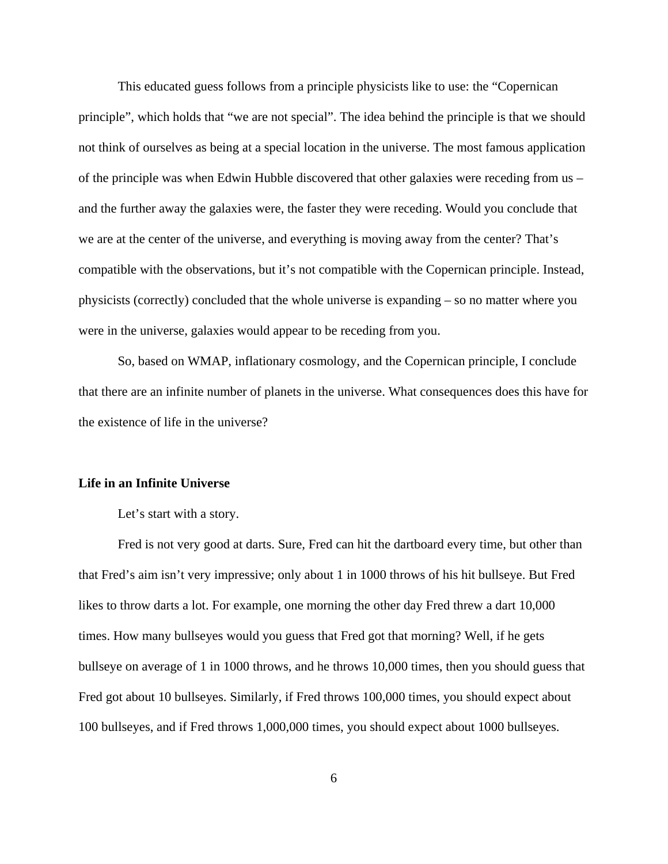This educated guess follows from a principle physicists like to use: the "Copernican principle", which holds that "we are not special". The idea behind the principle is that we should not think of ourselves as being at a special location in the universe. The most famous application of the principle was when Edwin Hubble discovered that other galaxies were receding from us – and the further away the galaxies were, the faster they were receding. Would you conclude that we are at the center of the universe, and everything is moving away from the center? That's compatible with the observations, but it's not compatible with the Copernican principle. Instead, physicists (correctly) concluded that the whole universe is expanding – so no matter where you were in the universe, galaxies would appear to be receding from you.

So, based on WMAP, inflationary cosmology, and the Copernican principle, I conclude that there are an infinite number of planets in the universe. What consequences does this have for the existence of life in the universe?

## **Life in an Infinite Universe**

Let's start with a story.

Fred is not very good at darts. Sure, Fred can hit the dartboard every time, but other than that Fred's aim isn't very impressive; only about 1 in 1000 throws of his hit bullseye. But Fred likes to throw darts a lot. For example, one morning the other day Fred threw a dart 10,000 times. How many bullseyes would you guess that Fred got that morning? Well, if he gets bullseye on average of 1 in 1000 throws, and he throws 10,000 times, then you should guess that Fred got about 10 bullseyes. Similarly, if Fred throws 100,000 times, you should expect about 100 bullseyes, and if Fred throws 1,000,000 times, you should expect about 1000 bullseyes.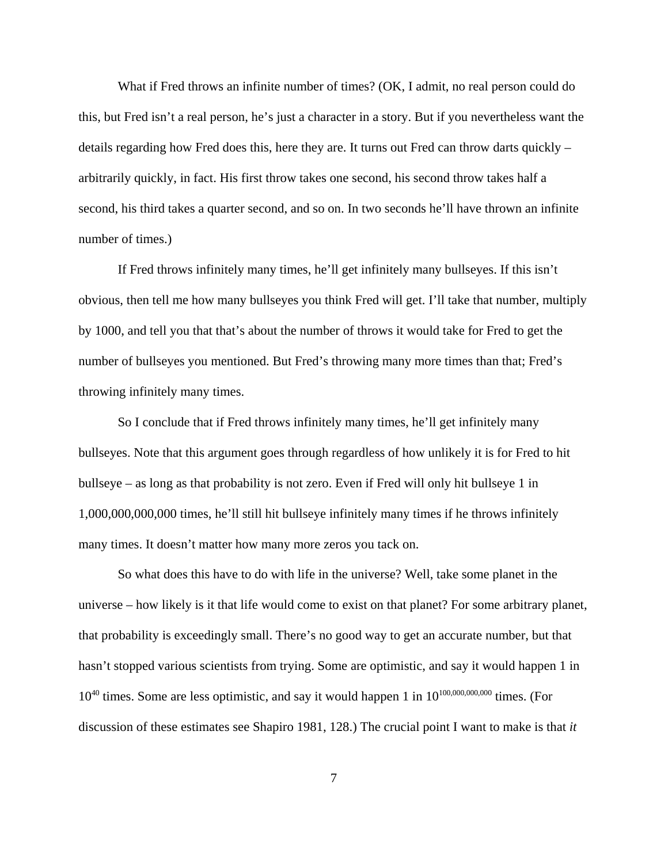What if Fred throws an infinite number of times? (OK, I admit, no real person could do this, but Fred isn't a real person, he's just a character in a story. But if you nevertheless want the details regarding how Fred does this, here they are. It turns out Fred can throw darts quickly – arbitrarily quickly, in fact. His first throw takes one second, his second throw takes half a second, his third takes a quarter second, and so on. In two seconds he'll have thrown an infinite number of times.)

If Fred throws infinitely many times, he'll get infinitely many bullseyes. If this isn't obvious, then tell me how many bullseyes you think Fred will get. I'll take that number, multiply by 1000, and tell you that that's about the number of throws it would take for Fred to get the number of bullseyes you mentioned. But Fred's throwing many more times than that; Fred's throwing infinitely many times.

So I conclude that if Fred throws infinitely many times, he'll get infinitely many bullseyes. Note that this argument goes through regardless of how unlikely it is for Fred to hit bullseye – as long as that probability is not zero. Even if Fred will only hit bullseye 1 in 1,000,000,000,000 times, he'll still hit bullseye infinitely many times if he throws infinitely many times. It doesn't matter how many more zeros you tack on.

So what does this have to do with life in the universe? Well, take some planet in the universe – how likely is it that life would come to exist on that planet? For some arbitrary planet, that probability is exceedingly small. There's no good way to get an accurate number, but that hasn't stopped various scientists from trying. Some are optimistic, and say it would happen 1 in  $10^{40}$  times. Some are less optimistic, and say it would happen 1 in  $10^{100,000,000}$  times. (For discussion of these estimates see Shapiro 1981, 128.) The crucial point I want to make is that *it*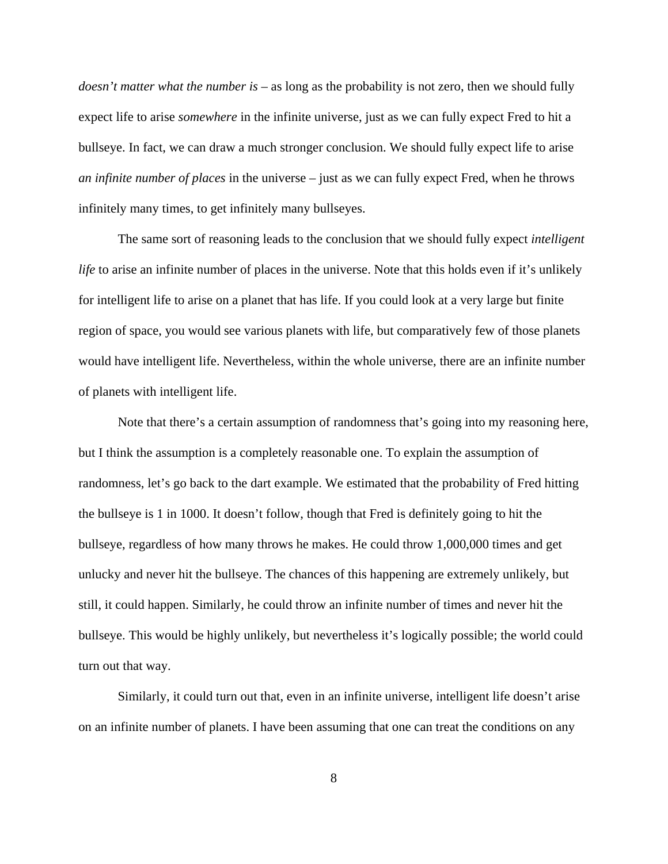*doesn't matter what the number is* – as long as the probability is not zero, then we should fully expect life to arise *somewhere* in the infinite universe, just as we can fully expect Fred to hit a bullseye. In fact, we can draw a much stronger conclusion. We should fully expect life to arise *an infinite number of places* in the universe – just as we can fully expect Fred, when he throws infinitely many times, to get infinitely many bullseyes.

The same sort of reasoning leads to the conclusion that we should fully expect *intelligent life* to arise an infinite number of places in the universe. Note that this holds even if it's unlikely for intelligent life to arise on a planet that has life. If you could look at a very large but finite region of space, you would see various planets with life, but comparatively few of those planets would have intelligent life. Nevertheless, within the whole universe, there are an infinite number of planets with intelligent life.

Note that there's a certain assumption of randomness that's going into my reasoning here, but I think the assumption is a completely reasonable one. To explain the assumption of randomness, let's go back to the dart example. We estimated that the probability of Fred hitting the bullseye is 1 in 1000. It doesn't follow, though that Fred is definitely going to hit the bullseye, regardless of how many throws he makes. He could throw 1,000,000 times and get unlucky and never hit the bullseye. The chances of this happening are extremely unlikely, but still, it could happen. Similarly, he could throw an infinite number of times and never hit the bullseye. This would be highly unlikely, but nevertheless it's logically possible; the world could turn out that way.

Similarly, it could turn out that, even in an infinite universe, intelligent life doesn't arise on an infinite number of planets. I have been assuming that one can treat the conditions on any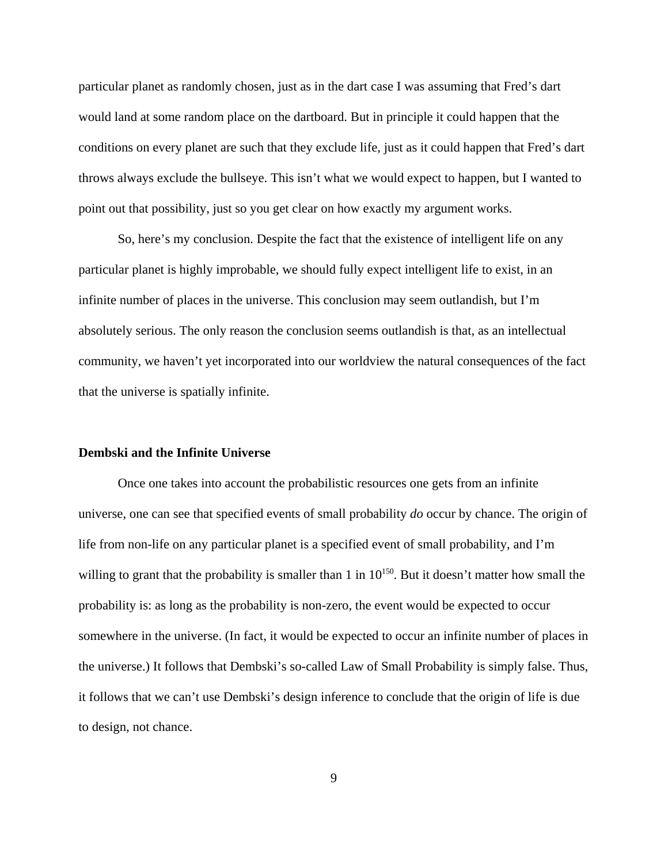particular planet as randomly chosen, just as in the dart case I was assuming that Fred's dart would land at some random place on the dartboard. But in principle it could happen that the conditions on every planet are such that they exclude life, just as it could happen that Fred's dart throws always exclude the bullseye. This isn't what we would expect to happen, but I wanted to point out that possibility, just so you get clear on how exactly my argument works.

So, here's my conclusion. Despite the fact that the existence of intelligent life on any particular planet is highly improbable, we should fully expect intelligent life to exist, in an infinite number of places in the universe. This conclusion may seem outlandish, but I'm absolutely serious. The only reason the conclusion seems outlandish is that, as an intellectual community, we haven't yet incorporated into our worldview the natural consequences of the fact that the universe is spatially infinite.

#### **Dembski and the Infinite Universe**

Once one takes into account the probabilistic resources one gets from an infinite universe, one can see that specified events of small probability *do* occur by chance. The origin of life from non-life on any particular planet is a specified event of small probability, and I'm willing to grant that the probability is smaller than 1 in  $10^{150}$ . But it doesn't matter how small the probability is: as long as the probability is non-zero, the event would be expected to occur somewhere in the universe. (In fact, it would be expected to occur an infinite number of places in the universe.) It follows that Dembski's so-called Law of Small Probability is simply false. Thus, it follows that we can't use Dembski's design inference to conclude that the origin of life is due to design, not chance.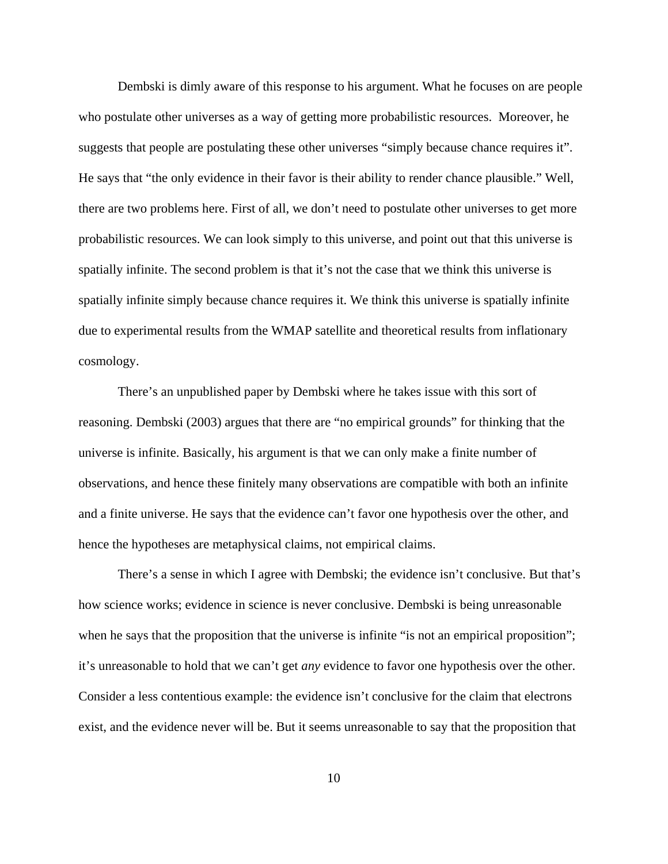Dembski is dimly aware of this response to his argument. What he focuses on are people who postulate other universes as a way of getting more probabilistic resources. Moreover, he suggests that people are postulating these other universes "simply because chance requires it". He says that "the only evidence in their favor is their ability to render chance plausible." Well, there are two problems here. First of all, we don't need to postulate other universes to get more probabilistic resources. We can look simply to this universe, and point out that this universe is spatially infinite. The second problem is that it's not the case that we think this universe is spatially infinite simply because chance requires it. We think this universe is spatially infinite due to experimental results from the WMAP satellite and theoretical results from inflationary cosmology.

There's an unpublished paper by Dembski where he takes issue with this sort of reasoning. Dembski (2003) argues that there are "no empirical grounds" for thinking that the universe is infinite. Basically, his argument is that we can only make a finite number of observations, and hence these finitely many observations are compatible with both an infinite and a finite universe. He says that the evidence can't favor one hypothesis over the other, and hence the hypotheses are metaphysical claims, not empirical claims.

There's a sense in which I agree with Dembski; the evidence isn't conclusive. But that's how science works; evidence in science is never conclusive. Dembski is being unreasonable when he says that the proposition that the universe is infinite "is not an empirical proposition"; it's unreasonable to hold that we can't get *any* evidence to favor one hypothesis over the other. Consider a less contentious example: the evidence isn't conclusive for the claim that electrons exist, and the evidence never will be. But it seems unreasonable to say that the proposition that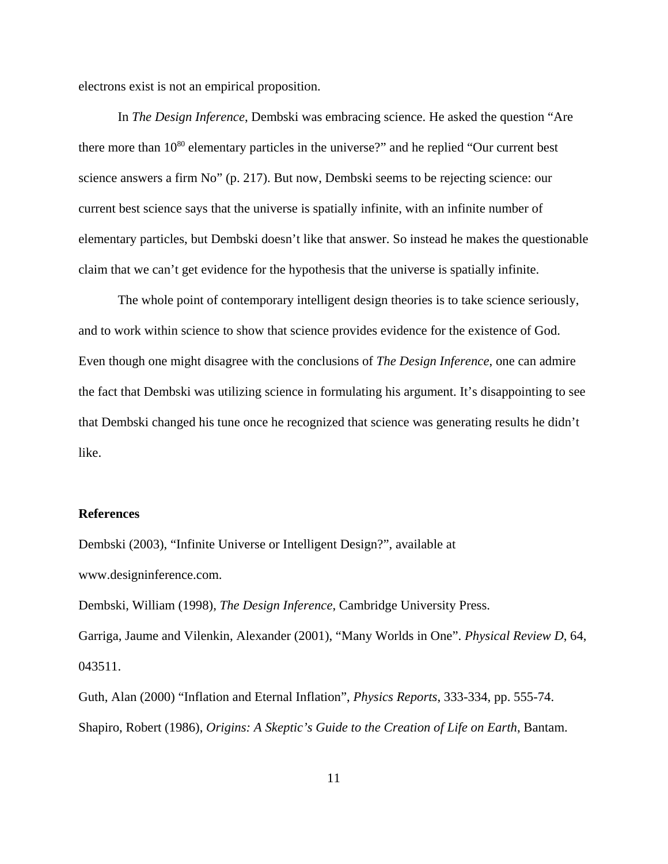electrons exist is not an empirical proposition.

In *The Design Inference*, Dembski was embracing science. He asked the question "Are there more than  $10^{80}$  elementary particles in the universe?" and he replied "Our current best science answers a firm No" (p. 217). But now, Dembski seems to be rejecting science: our current best science says that the universe is spatially infinite, with an infinite number of elementary particles, but Dembski doesn't like that answer. So instead he makes the questionable claim that we can't get evidence for the hypothesis that the universe is spatially infinite.

The whole point of contemporary intelligent design theories is to take science seriously, and to work within science to show that science provides evidence for the existence of God. Even though one might disagree with the conclusions of *The Design Inference*, one can admire the fact that Dembski was utilizing science in formulating his argument. It's disappointing to see that Dembski changed his tune once he recognized that science was generating results he didn't like.

## **References**

Dembski (2003), "Infinite Universe or Intelligent Design?", available at www.designinference.com. Dembski, William (1998), *The Design Inference*, Cambridge University Press. Garriga, Jaume and Vilenkin, Alexander (2001), "Many Worlds in One". *Physical Review D*, 64, 043511.

Guth, Alan (2000) "Inflation and Eternal Inflation", *Physics Reports*, 333-334, pp. 555-74. Shapiro, Robert (1986), *Origins: A Skeptic's Guide to the Creation of Life on Earth*, Bantam.